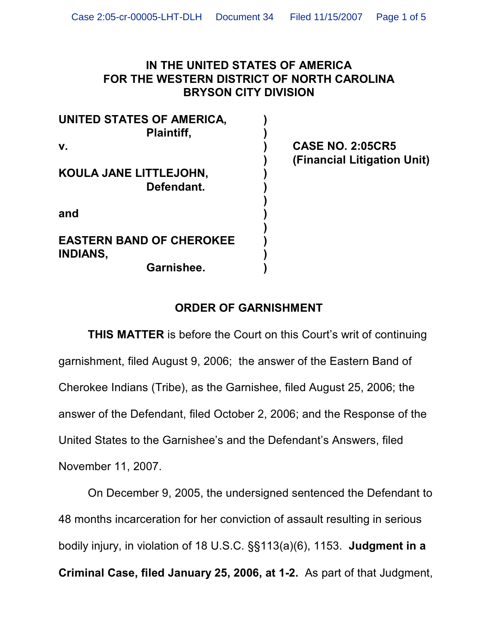## **IN THE UNITED STATES OF AMERICA FOR THE WESTERN DISTRICT OF NORTH CAROLINA BRYSON CITY DIVISION**

| <b>UNITED STATES OF AMERICA,</b><br><b>Plaintiff,</b> |  |
|-------------------------------------------------------|--|
| $\mathbf{V}$ .                                        |  |
| KOULA JANE LITTLEJOHN,<br>Defendant.                  |  |
| and                                                   |  |
| <b>EASTERN BAND OF CHEROKEE</b><br><b>INDIANS,</b>    |  |
| Garnishee.                                            |  |

**v. ) CASE NO. 2:05CR5 ) (Financial Litigation Unit)**

## **ORDER OF GARNISHMENT**

**THIS MATTER** is before the Court on this Court's writ of continuing garnishment, filed August 9, 2006; the answer of the Eastern Band of Cherokee Indians (Tribe), as the Garnishee, filed August 25, 2006; the answer of the Defendant, filed October 2, 2006; and the Response of the United States to the Garnishee's and the Defendant's Answers, filed November 11, 2007.

On December 9, 2005, the undersigned sentenced the Defendant to 48 months incarceration for her conviction of assault resulting in serious bodily injury, in violation of 18 U.S.C. §§113(a)(6), 1153. **Judgment in a Criminal Case, filed January 25, 2006, at 1-2.** As part of that Judgment,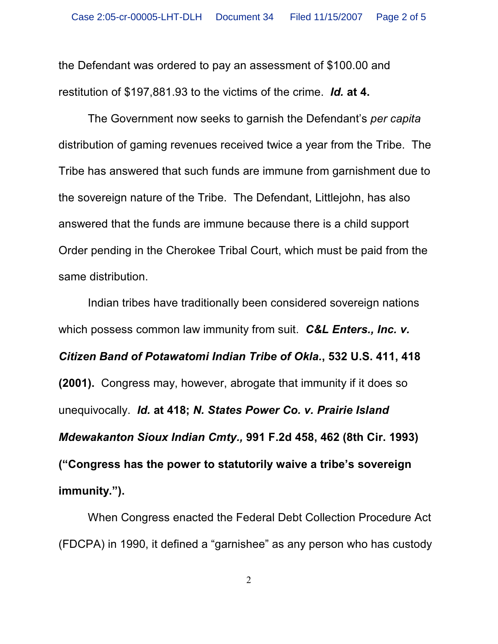the Defendant was ordered to pay an assessment of \$100.00 and restitution of \$197,881.93 to the victims of the crime. *Id.* **at 4.**

The Government now seeks to garnish the Defendant's *per capita* distribution of gaming revenues received twice a year from the Tribe. The Tribe has answered that such funds are immune from garnishment due to the sovereign nature of the Tribe. The Defendant, Littlejohn, has also answered that the funds are immune because there is a child support Order pending in the Cherokee Tribal Court, which must be paid from the same distribution.

Indian tribes have traditionally been considered sovereign nations which possess common law immunity from suit. *C&L Enters., Inc. v. Citizen Band of Potawatomi Indian Tribe of Okla.***, 532 U.S. 411, 418 (2001).** Congress may, however, abrogate that immunity if it does so unequivocally. *Id.* **at 418;** *N. States Power Co. v. Prairie Island Mdewakanton Sioux Indian Cmty.,* **991 F.2d 458, 462 (8th Cir. 1993) ("Congress has the power to statutorily waive a tribe's sovereign immunity.").**

When Congress enacted the Federal Debt Collection Procedure Act (FDCPA) in 1990, it defined a "garnishee" as any person who has custody

2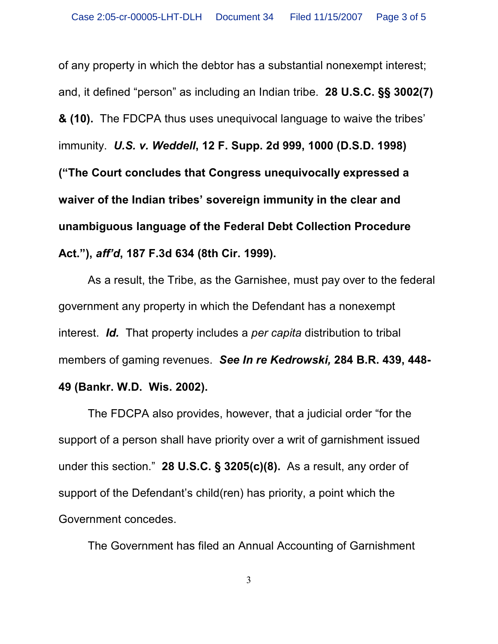of any property in which the debtor has a substantial nonexempt interest; and, it defined "person" as including an Indian tribe. **28 U.S.C. §§ 3002(7) & (10).** The FDCPA thus uses unequivocal language to waive the tribes' immunity.*U.S. v. Weddell***, 12 F. Supp. 2d 999, 1000 (D.S.D. 1998) ("The Court concludes that Congress unequivocally expressed a waiver of the Indian tribes' sovereign immunity in the clear and unambiguous language of the Federal Debt Collection Procedure Act."),** *aff'd***, 187 F.3d 634 (8th Cir. 1999).**

As a result, the Tribe, as the Garnishee, must pay over to the federal government any property in which the Defendant has a nonexempt interest. *Id.* That property includes a *per capita* distribution to tribal members of gaming revenues.*See In re Kedrowski,* **284 B.R. 439, 448-**

## **49 (Bankr. W.D. Wis. 2002).**

The FDCPA also provides, however, that a judicial order "for the support of a person shall have priority over a writ of garnishment issued under this section." **28 U.S.C. § 3205(c)(8).** As a result, any order of support of the Defendant's child(ren) has priority, a point which the Government concedes.

The Government has filed an Annual Accounting of Garnishment

3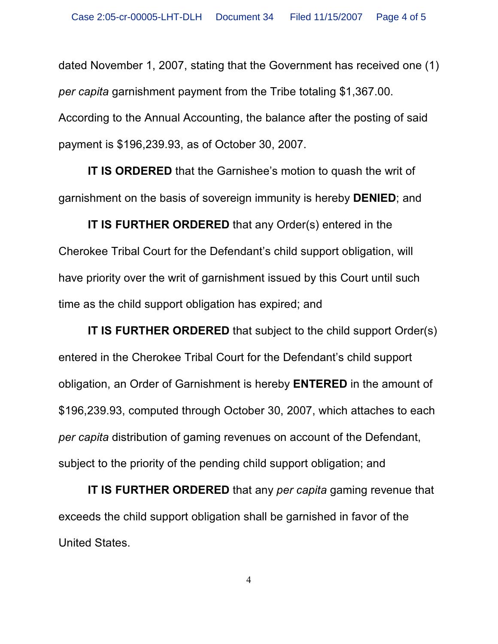dated November 1, 2007, stating that the Government has received one (1) *per capita* garnishment payment from the Tribe totaling \$1,367.00. According to the Annual Accounting, the balance after the posting of said payment is \$196,239.93, as of October 30, 2007.

**IT IS ORDERED** that the Garnishee's motion to quash the writ of garnishment on the basis of sovereign immunity is hereby **DENIED**; and

**IT IS FURTHER ORDERED** that any Order(s) entered in the Cherokee Tribal Court for the Defendant's child support obligation, will have priority over the writ of garnishment issued by this Court until such time as the child support obligation has expired; and

**IT IS FURTHER ORDERED** that subject to the child support Order(s) entered in the Cherokee Tribal Court for the Defendant's child support obligation, an Order of Garnishment is hereby **ENTERED** in the amount of \$196,239.93, computed through October 30, 2007, which attaches to each *per capita* distribution of gaming revenues on account of the Defendant, subject to the priority of the pending child support obligation; and

**IT IS FURTHER ORDERED** that any *per capita* gaming revenue that exceeds the child support obligation shall be garnished in favor of the United States.

4